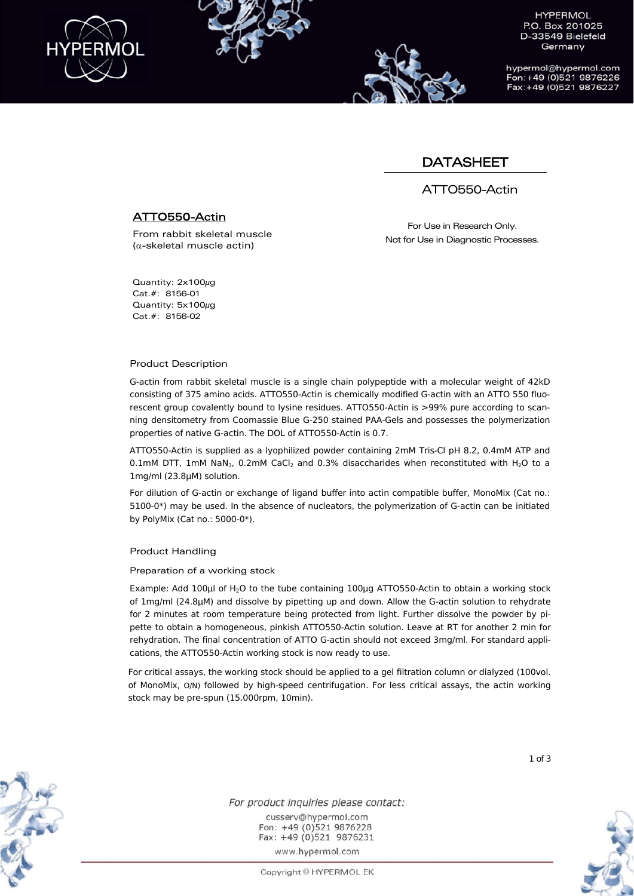

hypermol@hypermol.com Fon: +49 (0)521 9876226 Fax: +49 (0)521 9876227

## **DATASHEET**

## ATTO550-Actin

## ATTO550-Actin

From rabbit skeletal muscle  $(\alpha$ -skeletal muscle actin)

For Use in Research Only. Not for Use in Diagnostic Processes.

Quantity: 2x100μg Cat.#: 8156-01 Quantity: 5x100μg Cat.#: 8156-02

#### Product Description

G-actin from rabbit skeletal muscle is a single chain polypeptide with a molecular weight of 42kD consisting of 375 amino acids. ATTO550-Actin is chemically modified G-actin with an ATTO 550 fluorescent group covalently bound to lysine residues. ATTO550-Actin is >99% pure according to scanning densitometry from Coomassie Blue G-250 stained PAA-Gels and possesses the polymerization properties of native G-actin. The DOL of ATTO550-Actin is 0.7.

ATTO550-Actin is supplied as a lyophilized powder containing 2mM Tris-Cl pH 8.2, 0.4mM ATP and 0.1mM DTT, 1mM NaN<sub>3</sub>, 0.2mM CaCl<sub>2</sub> and 0.3% disaccharides when reconstituted with H<sub>2</sub>O to a 1mg/ml (23.8μM) solution.

For dilution of G-actin or exchange of ligand buffer into actin compatible buffer, MonoMix (Cat no.: 5100-0\*) may be used. In the absence of nucleators, the polymerization of G-actin can be initiated by PolyMix (Cat no.: 5000-0\*).

#### Product Handling

Preparation of a working stock

Example: Add 100 $\mu$ l of H<sub>2</sub>O to the tube containing 100 $\mu$ g ATTO550-Actin to obtain a working stock of 1mg/ml (24.8μM) and dissolve by pipetting up and down. Allow the G-actin solution to rehydrate for 2 minutes at room temperature being protected from light. Further dissolve the powder by pipette to obtain a homogeneous, pinkish ATTO550-Actin solution. Leave at RT for another 2 min for rehydration. The final concentration of ATTO G-actin should not exceed 3mg/ml. For standard applications, the ATTO550-Actin working stock is now ready to use.

For critical assays, the working stock should be applied to a gel filtration column or dialyzed (100vol. of MonoMix, O/N) followed by high-speed centrifugation. For less critical assays, the actin working stock may be pre-spun (15.000rpm, 10min).



For product inquiries please contact: cusserv@hypermol.com Fon: +49 (0)521 9876228 Fax: +49 (0)521 9876231 www.hypermol.com

Copyright © HYPERMOL EK



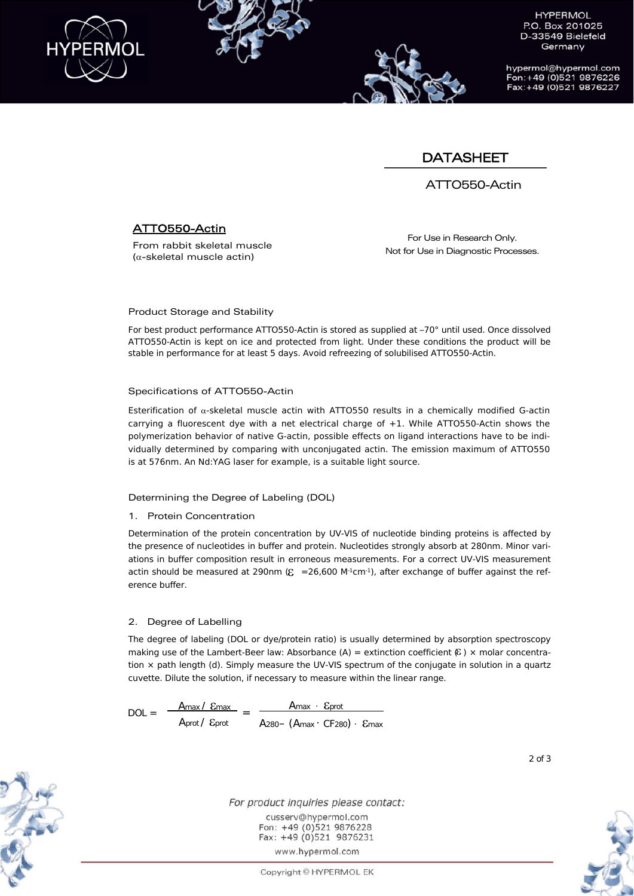

hypermol@hypermol.com Fon: +49 (0)521 9876226 Fax: +49 (0)521 9876227

# **DATASHEET**

ATTO550-Actin

## ATTO550-Actin

From rabbit skeletal muscle  $(\alpha$ -skeletal muscle actin)

For Use in Research Only. Not for Use in Diagnostic Processes.

#### Product Storage and Stability

For best product performance ATTO550-Actin is stored as supplied at –70° until used. Once dissolved ATTO550-Actin is kept on ice and protected from light. Under these conditions the product will be stable in performance for at least 5 days. Avoid refreezing of solubilised ATTO550-Actin.

#### Specifications of ATTO550-Actin

Esterification of  $\alpha$ -skeletal muscle actin with ATTO550 results in a chemically modified G-actin carrying a fluorescent dye with a net electrical charge of +1. While ATTO550-Actin shows the polymerization behavior of native G-actin, possible effects on ligand interactions have to be individually determined by comparing with unconjugated actin. The emission maximum of ATTO550 is at 576nm. An Nd:YAG laser for example, is a suitable light source.

#### Determining the Degree of Labeling (DOL)

#### 1. Protein Concentration

Determination of the protein concentration by UV-VIS of nucleotide binding proteins is affected by the presence of nucleotides in buffer and protein. Nucleotides strongly absorb at 280nm. Minor variations in buffer composition result in erroneous measurements. For a correct UV-VIS measurement actin should be measured at 290nm ( $\epsilon$  =26,600 M<sup>-1</sup>cm<sup>-1</sup>), after exchange of buffer against the reference buffer.

#### 2. Degree of Labelling

The degree of labeling (DOL or dye/protein ratio) is usually determined by absorption spectroscopy making use of the Lambert-Beer law: Absorbance (A) = extinction coefficient  $E$ ) x molar concentration × path length (d). Simply measure the UV-VIS spectrum of the conjugate in solution in a quartz cuvette. Dilute the solution, if necessary to measure within the linear range.

 $DOL = \frac{A_{max} / E_{max}}{A_{max}}$ Aprot / Eprot Amax Eprot  $= \frac{1.48 \times 10^{10}}{20} = 1.48 \times 10^{-10}$  Emax  $\cdot$  CF280) Emax



For product inquiries please contact: cusserv@hypermol.com Fon: +49 (0)521 9876228 Fax: +49 (0)521 9876231 www.hypermol.com

Copyright © HYPERMOL EK